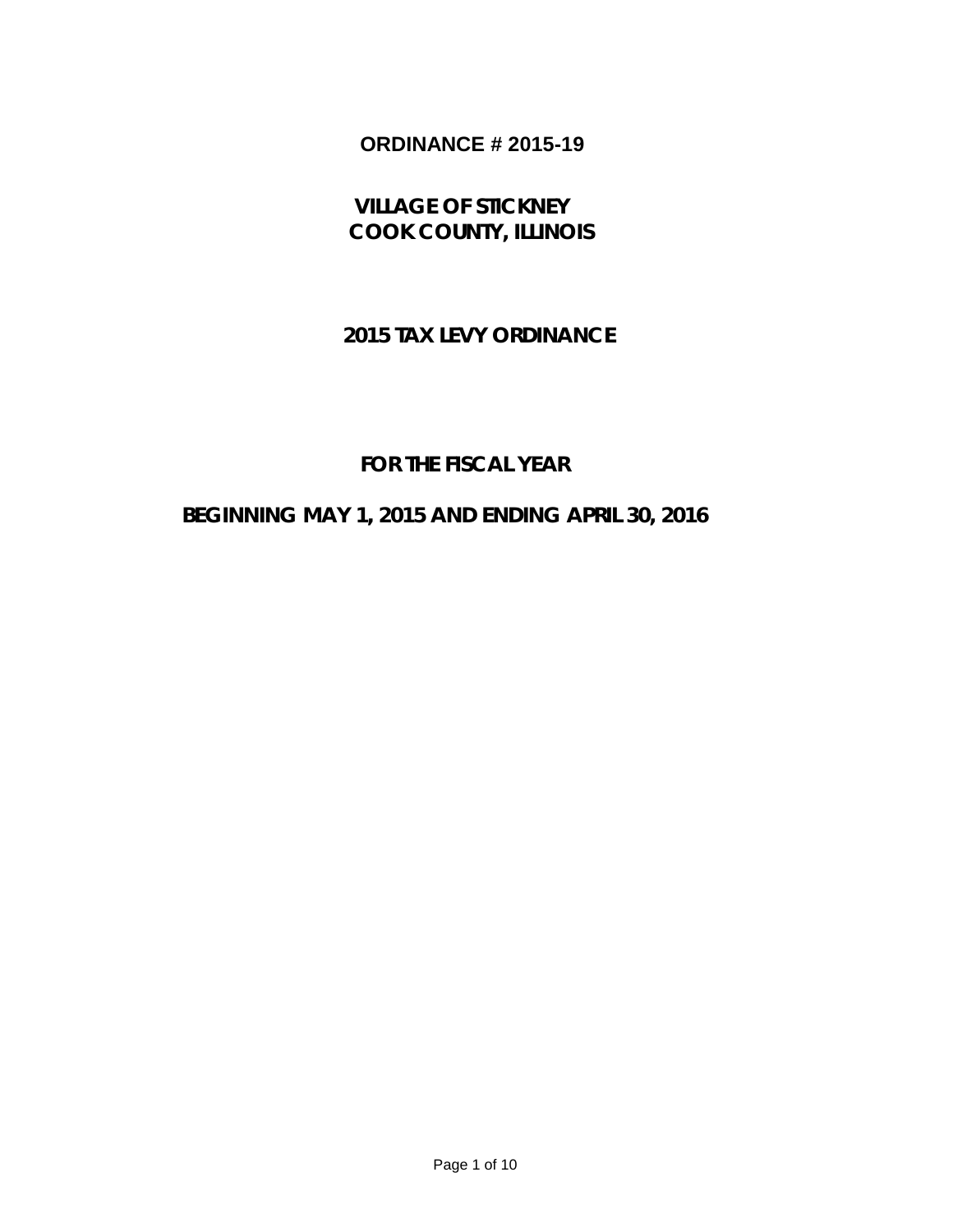# **ORDINANCE # 2015-19**

 **VILLAGE OF STICKNEY COOK COUNTY, ILLINOIS**

### **2015 TAX LEVY ORDINANCE**

## **FOR THE FISCAL YEAR**

## **BEGINNING MAY 1, 2015 AND ENDING APRIL 30, 2016**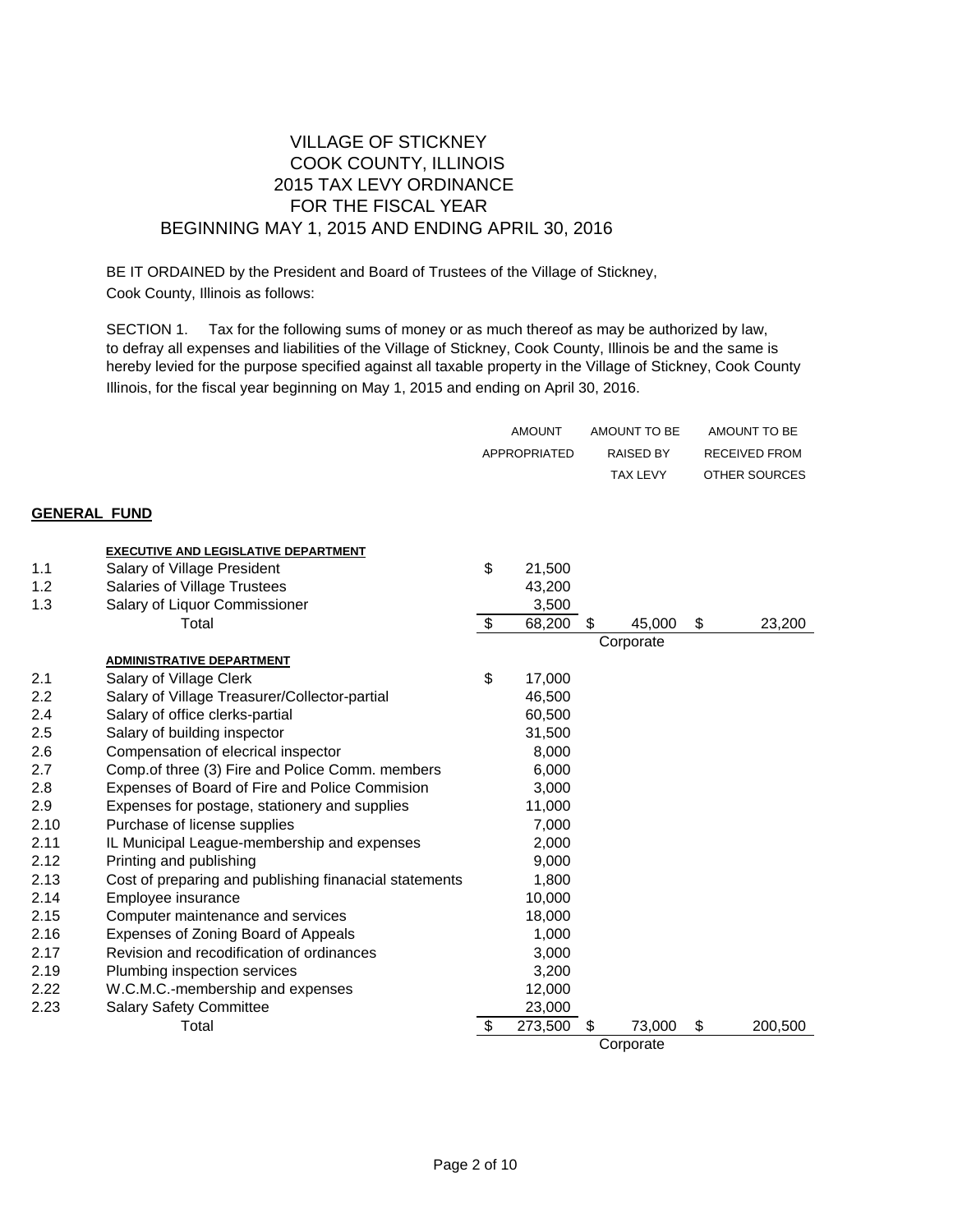### VILLAGE OF STICKNEY COOK COUNTY, ILLINOIS 2015 TAX LEVY ORDINANCE FOR THE FISCAL YEAR BEGINNING MAY 1, 2015 AND ENDING APRIL 30, 2016

BE IT ORDAINED by the President and Board of Trustees of the Village of Stickney, Cook County, Illinois as follows:

SECTION 1. Tax for the following sums of money or as much thereof as may be authorized by law, to defray all expenses and liabilities of the Village of Stickney, Cook County, Illinois be and the same is hereby levied for the purpose specified against all taxable property in the Village of Stickney, Cook County Illinois, for the fiscal year beginning on May 1, 2015 and ending on April 30, 2016.

|                     |                                                        | <b>AMOUNT</b><br>APPROPRIATED |         | AMOUNT TO BE<br><b>RAISED BY</b> |    | AMOUNT TO BE<br><b>RECEIVED FROM</b> |
|---------------------|--------------------------------------------------------|-------------------------------|---------|----------------------------------|----|--------------------------------------|
|                     |                                                        |                               |         | <b>TAX LEVY</b>                  |    | OTHER SOURCES                        |
| <b>GENERAL FUND</b> |                                                        |                               |         |                                  |    |                                      |
|                     | <b>EXECUTIVE AND LEGISLATIVE DEPARTMENT</b>            |                               |         |                                  |    |                                      |
| 1.1                 | Salary of Village President                            | \$                            | 21,500  |                                  |    |                                      |
| 1.2                 | Salaries of Village Trustees                           |                               | 43,200  |                                  |    |                                      |
| 1.3                 | Salary of Liquor Commissioner                          |                               | 3,500   |                                  |    |                                      |
|                     | Total                                                  | \$                            | 68,200  | 45,000                           | \$ | 23,200                               |
|                     |                                                        |                               |         | Corporate                        |    |                                      |
|                     | <b>ADMINISTRATIVE DEPARTMENT</b>                       |                               |         |                                  |    |                                      |
| 2.1                 | Salary of Village Clerk                                | \$                            | 17,000  |                                  |    |                                      |
| 2.2                 | Salary of Village Treasurer/Collector-partial          |                               | 46,500  |                                  |    |                                      |
| 2.4                 | Salary of office clerks-partial                        |                               | 60,500  |                                  |    |                                      |
| 2.5                 | Salary of building inspector                           |                               | 31,500  |                                  |    |                                      |
| 2.6                 | Compensation of elecrical inspector                    |                               | 8,000   |                                  |    |                                      |
| 2.7                 | Comp.of three (3) Fire and Police Comm. members        |                               | 6,000   |                                  |    |                                      |
| 2.8                 | Expenses of Board of Fire and Police Commision         |                               | 3,000   |                                  |    |                                      |
| 2.9                 | Expenses for postage, stationery and supplies          |                               | 11,000  |                                  |    |                                      |
| 2.10                | Purchase of license supplies                           |                               | 7,000   |                                  |    |                                      |
| 2.11                | IL Municipal League-membership and expenses            |                               | 2,000   |                                  |    |                                      |
| 2.12                | Printing and publishing                                |                               | 9,000   |                                  |    |                                      |
| 2.13                | Cost of preparing and publishing finanacial statements |                               | 1,800   |                                  |    |                                      |
| 2.14                | Employee insurance                                     |                               | 10,000  |                                  |    |                                      |
| 2.15                | Computer maintenance and services                      |                               | 18,000  |                                  |    |                                      |
| 2.16                | Expenses of Zoning Board of Appeals                    |                               | 1,000   |                                  |    |                                      |
| 2.17                | Revision and recodification of ordinances              |                               | 3,000   |                                  |    |                                      |
| 2.19                | Plumbing inspection services                           |                               | 3,200   |                                  |    |                                      |
| 2.22                | W.C.M.C.-membership and expenses                       |                               | 12,000  |                                  |    |                                      |
| 2.23                | <b>Salary Safety Committee</b>                         |                               | 23,000  |                                  |    |                                      |
|                     | Total                                                  | \$                            | 273,500 | 73,000                           | S  | 200,500                              |
|                     |                                                        |                               |         | Corporate                        |    |                                      |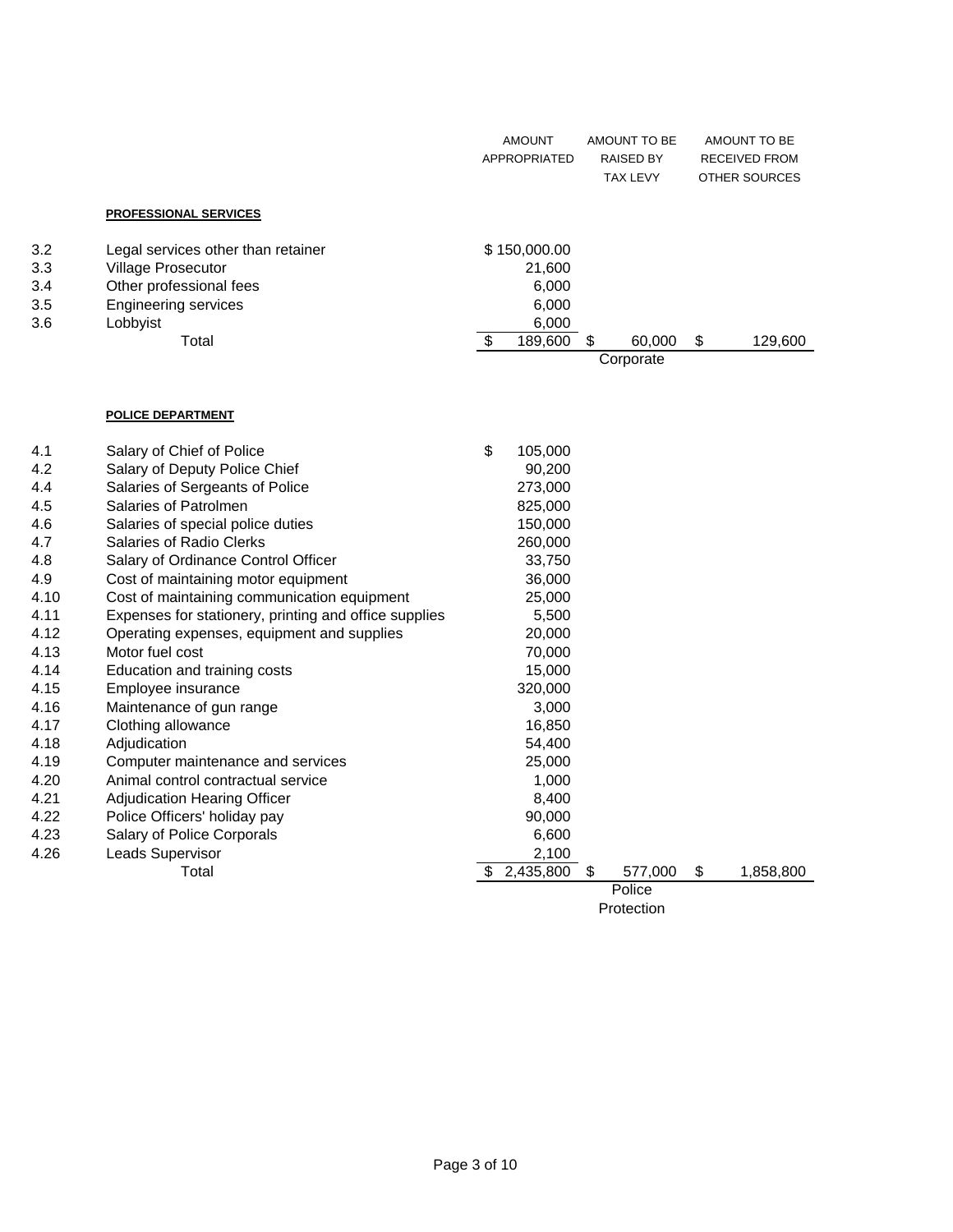|                    |                                     |                           | <b>AMOUNT</b><br>APPROPRIATED |   | AMOUNT TO BE<br><b>RAISED BY</b><br><b>TAX LEVY</b> | AMOUNT TO BE<br><b>RECEIVED FROM</b><br>OTHER SOURCES |
|--------------------|-------------------------------------|---------------------------|-------------------------------|---|-----------------------------------------------------|-------------------------------------------------------|
|                    | <b>PROFESSIONAL SERVICES</b>        |                           |                               |   |                                                     |                                                       |
| 3.2                | Legal services other than retainer  |                           | \$150,000.00                  |   |                                                     |                                                       |
| 3.3                | Village Prosecutor                  |                           | 21,600                        |   |                                                     |                                                       |
| 3.4                | Other professional fees             |                           | 6,000                         |   |                                                     |                                                       |
| 3.5                | <b>Engineering services</b>         |                           | 6,000                         |   |                                                     |                                                       |
| 3.6                | Lobbyist                            |                           | 6,000                         |   |                                                     |                                                       |
|                    | Total                               | $\boldsymbol{\mathsf{S}}$ | 189,600                       | S | 60,000                                              | \$<br>129,600                                         |
|                    |                                     |                           |                               |   | Corporate                                           |                                                       |
|                    |                                     |                           |                               |   |                                                     |                                                       |
|                    | <b>POLICE DEPARTMENT</b>            |                           |                               |   |                                                     |                                                       |
| 4.1                | Salary of Chief of Police           | \$                        | 105,000                       |   |                                                     |                                                       |
| 4.2                | Salary of Deputy Police Chief       |                           | 90,200                        |   |                                                     |                                                       |
| 4.4                | Salaries of Sergeants of Police     |                           | 273,000                       |   |                                                     |                                                       |
| 4.5                | Salaries of Patrolmen               |                           | 825,000                       |   |                                                     |                                                       |
| 4.6                | Salaries of special police duties   |                           | 150,000                       |   |                                                     |                                                       |
| 4.7                | <b>Salaries of Radio Clerks</b>     |                           | 260,000                       |   |                                                     |                                                       |
| 4.8                | Salary of Ordinance Control Officer |                           | 33,750                        |   |                                                     |                                                       |
| $\Lambda$ $\Omega$ | Cost of mointaining motor equipment |                           | sa nnn                        |   |                                                     |                                                       |

| 4.1  | Salary of Chief of Police                             | \$         | 105,000   |    |         |    |           |
|------|-------------------------------------------------------|------------|-----------|----|---------|----|-----------|
| 4.2  | Salary of Deputy Police Chief                         |            | 90,200    |    |         |    |           |
| 4.4  | Salaries of Sergeants of Police                       |            | 273,000   |    |         |    |           |
| 4.5  | Salaries of Patrolmen                                 |            | 825,000   |    |         |    |           |
| 4.6  | Salaries of special police duties                     |            | 150,000   |    |         |    |           |
| 4.7  | Salaries of Radio Clerks                              |            | 260,000   |    |         |    |           |
| 4.8  | Salary of Ordinance Control Officer                   |            | 33,750    |    |         |    |           |
| 4.9  | Cost of maintaining motor equipment                   |            | 36,000    |    |         |    |           |
| 4.10 | Cost of maintaining communication equipment           |            | 25,000    |    |         |    |           |
| 4.11 | Expenses for stationery, printing and office supplies |            | 5,500     |    |         |    |           |
| 4.12 | Operating expenses, equipment and supplies            |            | 20,000    |    |         |    |           |
| 4.13 | Motor fuel cost                                       |            | 70,000    |    |         |    |           |
| 4.14 | Education and training costs                          |            | 15,000    |    |         |    |           |
| 4.15 | Employee insurance                                    |            | 320,000   |    |         |    |           |
| 4.16 | Maintenance of gun range                              |            | 3,000     |    |         |    |           |
| 4.17 | Clothing allowance                                    |            | 16,850    |    |         |    |           |
| 4.18 | Adjudication                                          |            | 54,400    |    |         |    |           |
| 4.19 | Computer maintenance and services                     |            | 25,000    |    |         |    |           |
| 4.20 | Animal control contractual service                    |            | 1,000     |    |         |    |           |
| 4.21 | <b>Adjudication Hearing Officer</b>                   |            | 8,400     |    |         |    |           |
| 4.22 | Police Officers' holiday pay                          |            | 90,000    |    |         |    |           |
| 4.23 | Salary of Police Corporals                            |            | 6,600     |    |         |    |           |
| 4.26 | Leads Supervisor                                      |            | 2,100     |    |         |    |           |
|      | Total                                                 | \$         | 2,435,800 | \$ | 577,000 | \$ | 1,858,800 |
|      |                                                       |            |           |    | Police  |    |           |
|      |                                                       | Protection |           |    |         |    |           |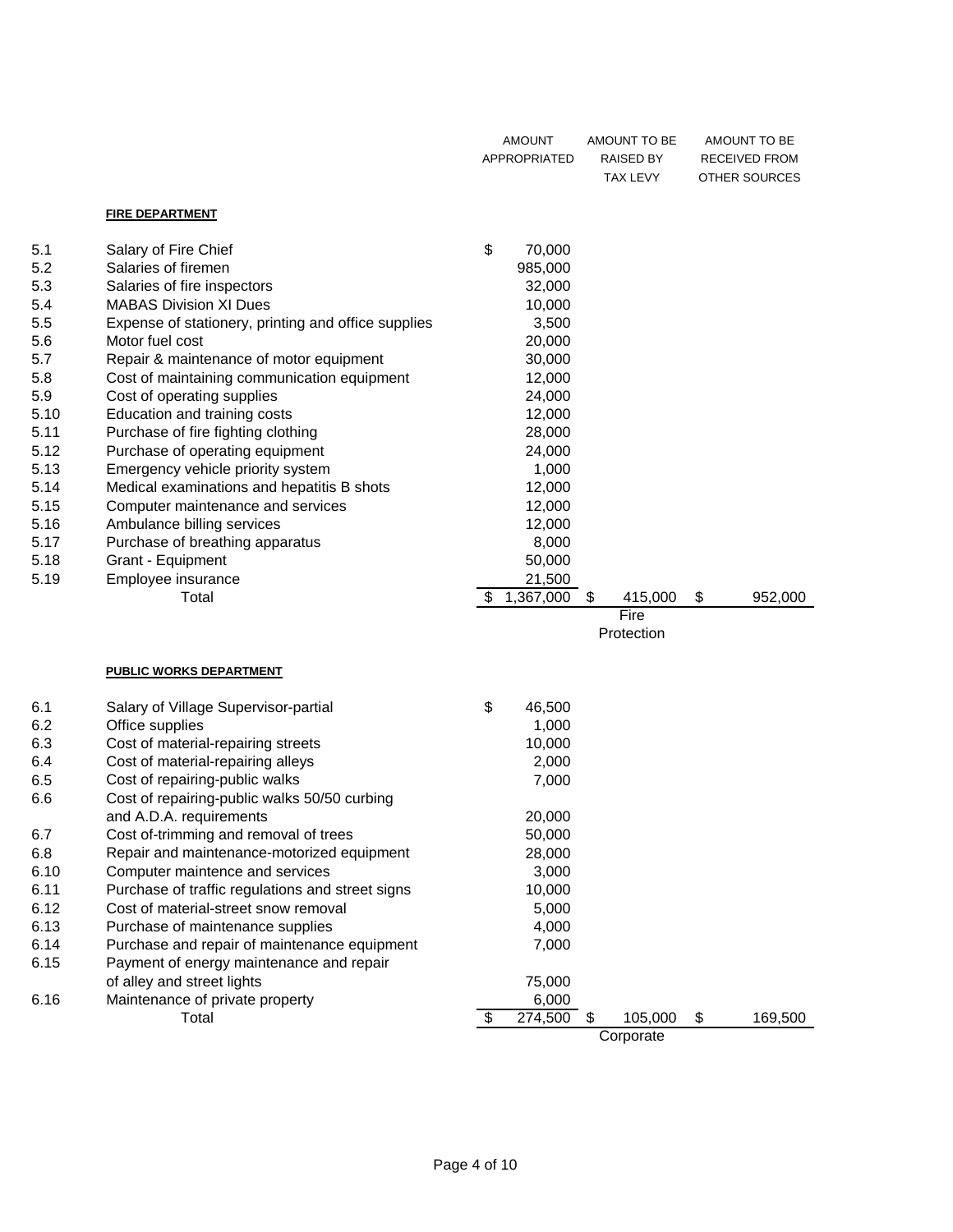|      |                                                     | <b>AMOUNT</b><br>APPROPRIATED |           | <b>RAISED BY</b><br><b>TAX LEVY</b> | RECEIVED FROM<br>OTHER SOURCES |
|------|-----------------------------------------------------|-------------------------------|-----------|-------------------------------------|--------------------------------|
|      | <b>FIRE DEPARTMENT</b>                              |                               |           |                                     |                                |
| 5.1  | Salary of Fire Chief                                | \$                            | 70,000    |                                     |                                |
| 5.2  | Salaries of firemen                                 |                               | 985,000   |                                     |                                |
| 5.3  | Salaries of fire inspectors                         |                               | 32,000    |                                     |                                |
| 5.4  | <b>MABAS Division XI Dues</b>                       |                               | 10,000    |                                     |                                |
| 5.5  | Expense of stationery, printing and office supplies |                               | 3,500     |                                     |                                |
| 5.6  | Motor fuel cost                                     |                               | 20,000    |                                     |                                |
| 5.7  | Repair & maintenance of motor equipment             |                               | 30,000    |                                     |                                |
| 5.8  | Cost of maintaining communication equipment         |                               | 12,000    |                                     |                                |
| 5.9  | Cost of operating supplies                          |                               | 24,000    |                                     |                                |
| 5.10 | Education and training costs                        |                               | 12,000    |                                     |                                |
| 5.11 | Purchase of fire fighting clothing                  |                               | 28,000    |                                     |                                |
| 5.12 | Purchase of operating equipment                     |                               | 24,000    |                                     |                                |
| 5.13 | Emergency vehicle priority system                   |                               | 1,000     |                                     |                                |
| 5.14 | Medical examinations and hepatitis B shots          |                               | 12,000    |                                     |                                |
| 5.15 | Computer maintenance and services                   |                               | 12,000    |                                     |                                |
| 5.16 | Ambulance billing services                          |                               | 12,000    |                                     |                                |
| 5.17 | Purchase of breathing apparatus                     |                               | 8,000     |                                     |                                |
| 5.18 | Grant - Equipment                                   |                               | 50,000    |                                     |                                |
| 5.19 | Employee insurance                                  |                               | 21,500    |                                     |                                |
|      | Total                                               | \$                            | 1,367,000 | \$<br>415,000                       | \$<br>952,000                  |
|      |                                                     |                               |           | Fire                                |                                |
|      |                                                     |                               |           | Protection                          |                                |
|      | <b>PUBLIC WORKS DEPARTMENT</b>                      |                               |           |                                     |                                |
| 6.1  | Salary of Village Supervisor-partial                | \$                            | 46,500    |                                     |                                |
| 6.2  | Office supplies                                     |                               | 1,000     |                                     |                                |
| 6.3  | Cost of material-repairing streets                  |                               | 10,000    |                                     |                                |
| 6.4  | Cost of material-repairing alleys                   |                               | 2,000     |                                     |                                |
| 6.5  | Cost of repairing-public walks                      |                               | 7,000     |                                     |                                |
| 6.6  | Cost of repairing-public walks 50/50 curbing        |                               |           |                                     |                                |
|      | and A.D.A. requirements                             |                               | 20,000    |                                     |                                |
| 6.7  | Cost of-trimming and removal of trees               |                               | 50,000    |                                     |                                |
| 6.8  | Repair and maintenance-motorized equipment          |                               | 28,000    |                                     |                                |
| 6.10 | Computer maintence and services                     |                               | 3,000     |                                     |                                |
| 6.11 | Purchase of traffic regulations and street signs    |                               | 10,000    |                                     |                                |
| 6.12 | Cost of material-street snow removal                |                               | 5,000     |                                     |                                |
| 6.13 | Purchase of maintenance supplies                    |                               | 4,000     |                                     |                                |
| 6.14 | Purchase and repair of maintenance equipment        |                               | 7,000     |                                     |                                |
| 6.15 | Payment of energy maintenance and repair            |                               |           |                                     |                                |
|      | of alley and street lights                          |                               | 75,000    |                                     |                                |
| 6.16 | Maintenance of private property                     |                               | 6,000     |                                     |                                |
|      | Total                                               | \$                            | 274,500   | 105,000<br>\$                       | \$<br>169,500                  |

**Corporate**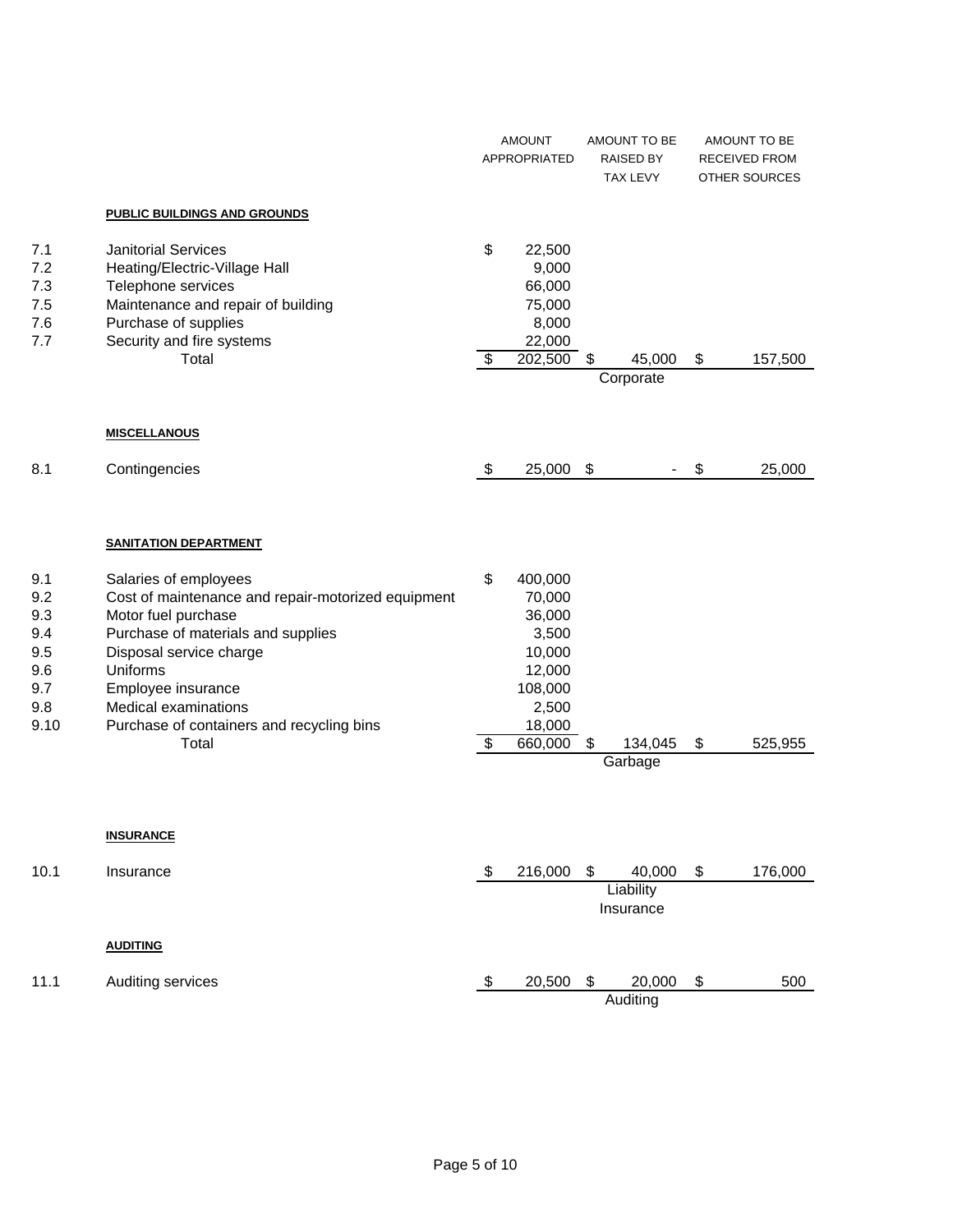|                                                              |                                                                                                                                                                                                                                                                                     |          | <b>AMOUNT</b><br><b>APPROPRIATED</b>                                                              |                           | AMOUNT TO BE<br><b>RAISED BY</b><br>TAX LEVY |    | AMOUNT TO BE<br>RECEIVED FROM<br>OTHER SOURCES |
|--------------------------------------------------------------|-------------------------------------------------------------------------------------------------------------------------------------------------------------------------------------------------------------------------------------------------------------------------------------|----------|---------------------------------------------------------------------------------------------------|---------------------------|----------------------------------------------|----|------------------------------------------------|
|                                                              | <b>PUBLIC BUILDINGS AND GROUNDS</b>                                                                                                                                                                                                                                                 |          |                                                                                                   |                           |                                              |    |                                                |
| 7.1<br>7.2<br>7.3<br>7.5<br>7.6<br>7.7                       | <b>Janitorial Services</b><br>Heating/Electric-Village Hall<br>Telephone services<br>Maintenance and repair of building<br>Purchase of supplies<br>Security and fire systems<br>Total                                                                                               | \$<br>\$ | 22,500<br>9,000<br>66,000<br>75,000<br>8,000<br>22,000<br>202,500                                 | \$                        | 45,000<br>Corporate                          | \$ | 157,500                                        |
|                                                              | <b>MISCELLANOUS</b>                                                                                                                                                                                                                                                                 |          |                                                                                                   |                           |                                              |    |                                                |
| 8.1                                                          | Contingencies                                                                                                                                                                                                                                                                       | \$       | 25,000                                                                                            | $\boldsymbol{\mathsf{S}}$ |                                              | \$ | 25,000                                         |
|                                                              | <b>SANITATION DEPARTMENT</b>                                                                                                                                                                                                                                                        |          |                                                                                                   |                           |                                              |    |                                                |
| 9.1<br>9.2<br>9.3<br>9.4<br>9.5<br>9.6<br>9.7<br>9.8<br>9.10 | Salaries of employees<br>Cost of maintenance and repair-motorized equipment<br>Motor fuel purchase<br>Purchase of materials and supplies<br>Disposal service charge<br>Uniforms<br>Employee insurance<br>Medical examinations<br>Purchase of containers and recycling bins<br>Total | \$<br>\$ | 400,000<br>70,000<br>36,000<br>3,500<br>10,000<br>12,000<br>108,000<br>2,500<br>18,000<br>660,000 | \$                        | 134,045<br>Garbage                           | \$ | 525,955                                        |
|                                                              | <b>INSURANCE</b>                                                                                                                                                                                                                                                                    |          |                                                                                                   |                           |                                              |    |                                                |
| 10.1                                                         | Insurance                                                                                                                                                                                                                                                                           | \$       | 216,000                                                                                           | $\sqrt{5}$                | 40,000<br>Liability<br>Insurance             | \$ | 176,000                                        |
|                                                              | <b>AUDITING</b>                                                                                                                                                                                                                                                                     |          |                                                                                                   |                           |                                              |    |                                                |

11.1 Auditing services 11.1 Auditing services 11.1 Auditing services 120,500 \$ 500

**Auditing**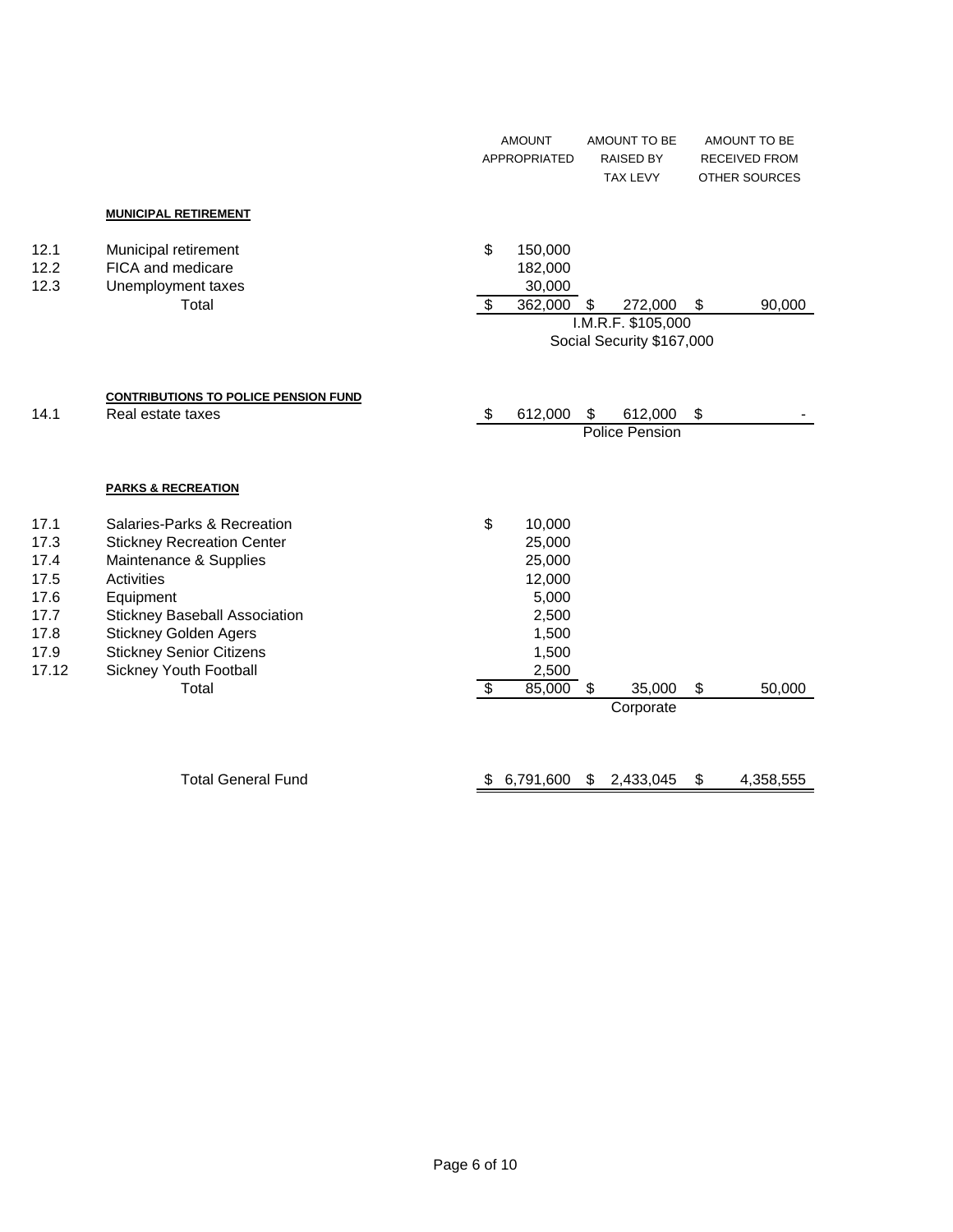|                                                                       |                                                                                                                                                                                                                                                                            |                                 | <b>AMOUNT</b><br>APPROPRIATED |                                                                                             | AMOUNT TO BE<br><b>RAISED BY</b><br><b>TAX LEVY</b> |                                                 | AMOUNT TO BE<br>RECEIVED FROM<br><b>OTHER SOURCES</b> |
|-----------------------------------------------------------------------|----------------------------------------------------------------------------------------------------------------------------------------------------------------------------------------------------------------------------------------------------------------------------|---------------------------------|-------------------------------|---------------------------------------------------------------------------------------------|-----------------------------------------------------|-------------------------------------------------|-------------------------------------------------------|
|                                                                       | <b>MUNICIPAL RETIREMENT</b>                                                                                                                                                                                                                                                |                                 |                               |                                                                                             |                                                     |                                                 |                                                       |
| 12.1<br>12.2<br>12.3                                                  | Municipal retirement<br>FICA and medicare<br>Unemployment taxes<br><b>Total</b>                                                                                                                                                                                            | \$<br>\$                        |                               | 150,000<br>182,000<br>30,000<br>362,000                                                     | S                                                   | 272,000                                         | \$<br>90,000                                          |
|                                                                       |                                                                                                                                                                                                                                                                            |                                 |                               |                                                                                             |                                                     | I.M.R.F. \$105,000<br>Social Security \$167,000 |                                                       |
| 14.1                                                                  | <b>CONTRIBUTIONS TO POLICE PENSION FUND</b><br>Real estate taxes                                                                                                                                                                                                           | \$                              |                               | 612,000                                                                                     | \$                                                  | 612,000<br>Police Pension                       | \$                                                    |
|                                                                       | <b>PARKS &amp; RECREATION</b>                                                                                                                                                                                                                                              |                                 |                               |                                                                                             |                                                     |                                                 |                                                       |
| 17.1<br>17.3<br>17.4<br>17.5<br>17.6<br>17.7<br>17.8<br>17.9<br>17.12 | Salaries-Parks & Recreation<br><b>Stickney Recreation Center</b><br>Maintenance & Supplies<br>Activities<br>Equipment<br><b>Stickney Baseball Association</b><br><b>Stickney Golden Agers</b><br><b>Stickney Senior Citizens</b><br>Sickney Youth Football<br><b>Total</b> | \$<br>$\boldsymbol{\mathsf{S}}$ |                               | 10,000<br>25,000<br>25,000<br>12,000<br>5,000<br>2,500<br>1,500<br>1,500<br>2,500<br>85,000 | \$                                                  | 35,000<br>Corporate                             | \$<br>50,000                                          |
|                                                                       | <b>Total General Fund</b>                                                                                                                                                                                                                                                  | \$                              |                               | 6,791,600                                                                                   | S.                                                  | 2,433,045                                       | \$<br>4,358,555                                       |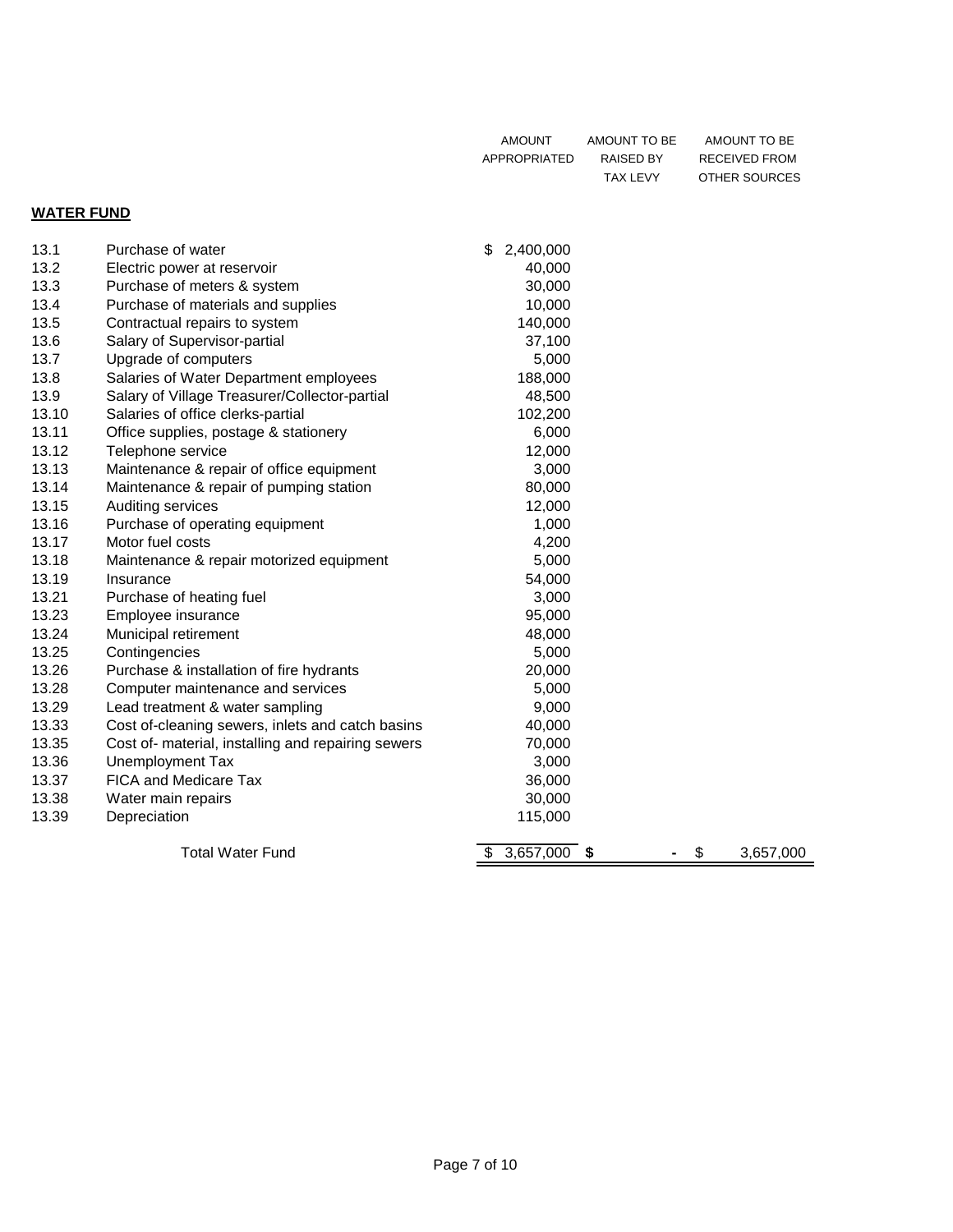| AMOUNT       | AMOUNT TO BE | AMOUNT TO BE  |
|--------------|--------------|---------------|
| APPROPRIATED | RAISED BY    | RECEIVED FROM |
|              | TAX LEVY     | OTHER SOURCES |

### **WATER FUND**

| 13.1  | Purchase of water                                  | \$<br>2,400,000       |    |           |
|-------|----------------------------------------------------|-----------------------|----|-----------|
| 13.2  | Electric power at reservoir                        | 40,000                |    |           |
| 13.3  | Purchase of meters & system                        | 30,000                |    |           |
| 13.4  | Purchase of materials and supplies                 | 10,000                |    |           |
| 13.5  | Contractual repairs to system                      | 140,000               |    |           |
| 13.6  | Salary of Supervisor-partial                       | 37,100                |    |           |
| 13.7  | Upgrade of computers                               | 5,000                 |    |           |
| 13.8  | Salaries of Water Department employees             | 188,000               |    |           |
| 13.9  | Salary of Village Treasurer/Collector-partial      | 48,500                |    |           |
| 13.10 | Salaries of office clerks-partial                  | 102,200               |    |           |
| 13.11 | Office supplies, postage & stationery              | 6,000                 |    |           |
| 13.12 | Telephone service                                  | 12,000                |    |           |
| 13.13 | Maintenance & repair of office equipment           | 3,000                 |    |           |
| 13.14 | Maintenance & repair of pumping station            | 80,000                |    |           |
| 13.15 | Auditing services                                  | 12,000                |    |           |
| 13.16 | Purchase of operating equipment                    | 1,000                 |    |           |
| 13.17 | Motor fuel costs                                   | 4,200                 |    |           |
| 13.18 | Maintenance & repair motorized equipment           | 5,000                 |    |           |
| 13.19 | Insurance                                          | 54,000                |    |           |
| 13.21 | Purchase of heating fuel                           | 3,000                 |    |           |
| 13.23 | Employee insurance                                 | 95,000                |    |           |
| 13.24 | Municipal retirement                               | 48,000                |    |           |
| 13.25 | Contingencies                                      | 5,000                 |    |           |
| 13.26 | Purchase & installation of fire hydrants           | 20,000                |    |           |
| 13.28 | Computer maintenance and services                  | 5,000                 |    |           |
| 13.29 | Lead treatment & water sampling                    | 9,000                 |    |           |
| 13.33 | Cost of-cleaning sewers, inlets and catch basins   | 40,000                |    |           |
| 13.35 | Cost of- material, installing and repairing sewers | 70,000                |    |           |
| 13.36 | Unemployment Tax                                   | 3,000                 |    |           |
| 13.37 | FICA and Medicare Tax                              | 36,000                |    |           |
| 13.38 | Water main repairs                                 | 30,000                |    |           |
| 13.39 | Depreciation                                       | 115,000               |    |           |
|       | <b>Total Water Fund</b>                            | 3,657,000<br>\$<br>\$ | \$ | 3,657,000 |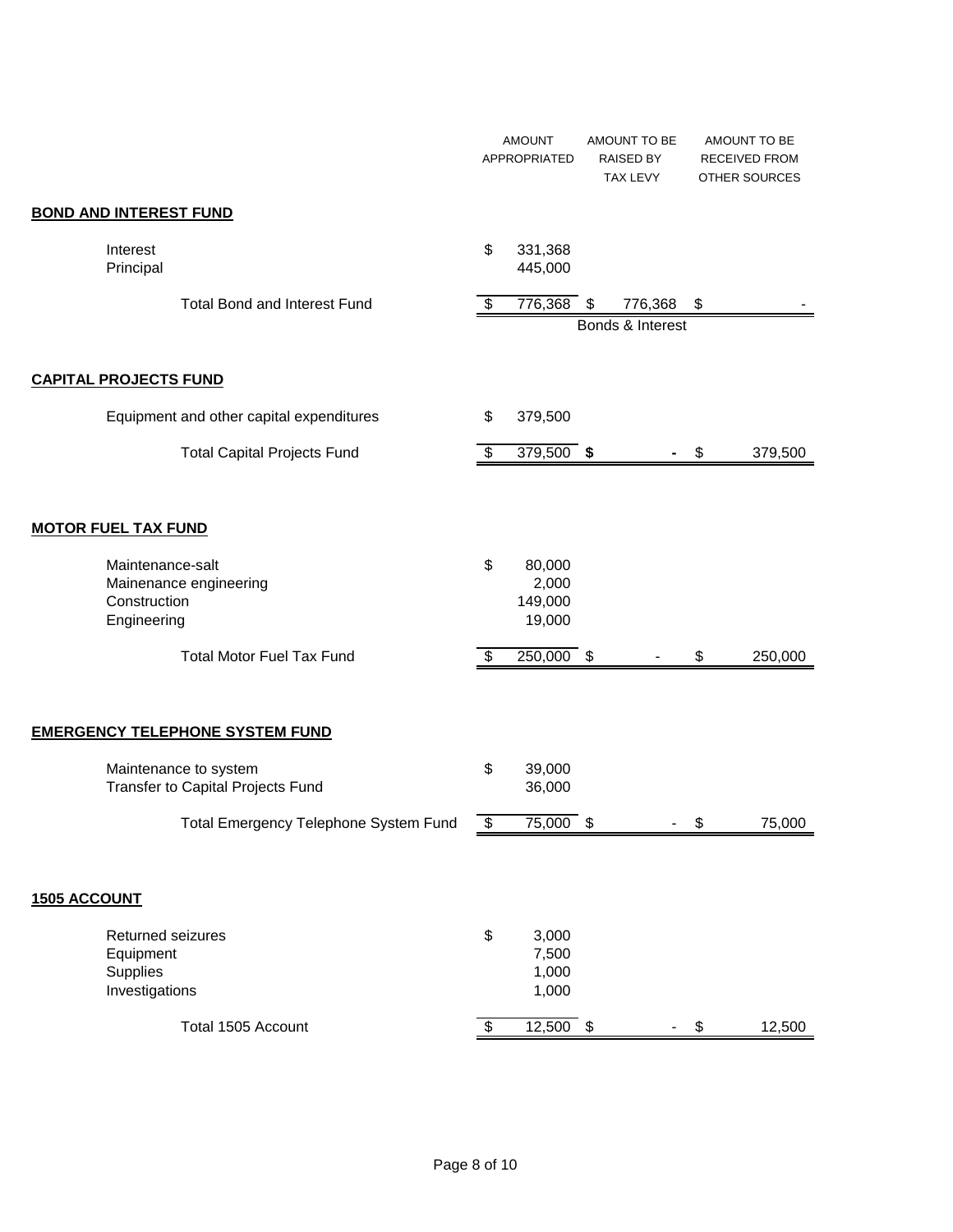|                                                                           | <b>AMOUNT</b><br>APPROPRIATED              |    | AMOUNT TO BE<br><b>RAISED BY</b><br>TAX LEVY |    | AMOUNT TO BE<br><b>RECEIVED FROM</b><br>OTHER SOURCES |
|---------------------------------------------------------------------------|--------------------------------------------|----|----------------------------------------------|----|-------------------------------------------------------|
| <b>BOND AND INTEREST FUND</b>                                             |                                            |    |                                              |    |                                                       |
| Interest<br>Principal                                                     | \$<br>331,368<br>445,000                   |    |                                              |    |                                                       |
| <b>Total Bond and Interest Fund</b>                                       | \$<br>776,368                              | \$ | 776,368<br>Bonds & Interest                  | \$ |                                                       |
| <b>CAPITAL PROJECTS FUND</b>                                              |                                            |    |                                              |    |                                                       |
| Equipment and other capital expenditures                                  | \$<br>379,500                              |    |                                              |    |                                                       |
| <b>Total Capital Projects Fund</b>                                        | \$<br>379,500 \$                           |    |                                              | \$ | 379,500                                               |
| <b>MOTOR FUEL TAX FUND</b>                                                |                                            |    |                                              |    |                                                       |
| Maintenance-salt<br>Mainenance engineering<br>Construction<br>Engineering | \$<br>80,000<br>2,000<br>149,000<br>19,000 |    |                                              |    |                                                       |
| <b>Total Motor Fuel Tax Fund</b>                                          | \$<br>250,000 \$                           |    |                                              | \$ | 250,000                                               |
| <b>EMERGENCY TELEPHONE SYSTEM FUND</b>                                    |                                            |    |                                              |    |                                                       |
| Maintenance to system<br>Transfer to Capital Projects Fund                | \$<br>39,000<br>36,000                     |    |                                              |    |                                                       |
| Total Emergency Telephone System Fund                                     | \$<br>$75,000$ \$                          |    |                                              | \$ | 75,000                                                |
| <b>1505 ACCOUNT</b>                                                       |                                            |    |                                              |    |                                                       |
| Returned seizures<br>Equipment<br>Supplies<br>Investigations              | \$<br>3,000<br>7,500<br>1,000<br>1,000     |    |                                              |    |                                                       |
| Total 1505 Account                                                        | \$<br>$12,500$ \$                          |    |                                              | \$ | 12,500                                                |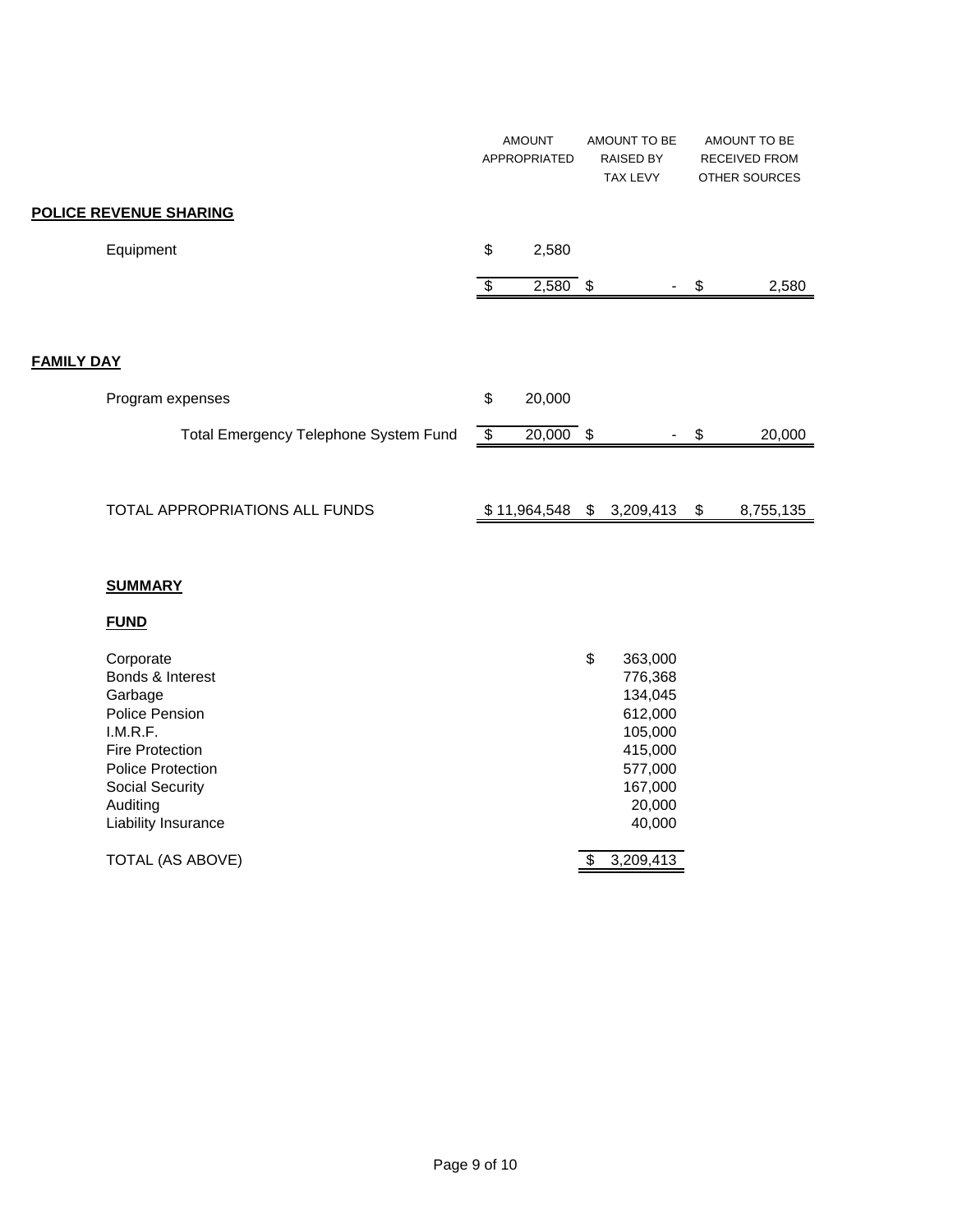|                                       | <b>AMOUNT</b><br>APPROPRIATED | AMOUNT TO BE<br><b>RAISED BY</b><br><b>TAX LEVY</b> |    | AMOUNT TO BE<br><b>RECEIVED FROM</b><br><b>OTHER SOURCES</b> |
|---------------------------------------|-------------------------------|-----------------------------------------------------|----|--------------------------------------------------------------|
| POLICE REVENUE SHARING                |                               |                                                     |    |                                                              |
| Equipment                             | \$<br>2,580                   |                                                     |    |                                                              |
|                                       | \$<br>$2,580$ \$              |                                                     | S  | 2,580                                                        |
|                                       |                               |                                                     |    |                                                              |
| <b>FAMILY DAY</b>                     |                               |                                                     |    |                                                              |
| Program expenses                      | \$<br>20,000                  |                                                     |    |                                                              |
| Total Emergency Telephone System Fund | \$<br>$20,000$ \$             |                                                     | \$ | 20,000                                                       |
|                                       |                               |                                                     |    |                                                              |
| TOTAL APPROPRIATIONS ALL FUNDS        | \$11,964,548                  | \$<br>3,209,413                                     | \$ | 8,755,135                                                    |

#### **SUMMARY**

### **FUND**

| Corporate<br>Bonds & Interest<br>Garbage<br>Police Pension<br>I.M.R.F.<br><b>Fire Protection</b><br><b>Police Protection</b><br><b>Social Security</b><br>Auditing | \$<br>363,000<br>776,368<br>134,045<br>612,000<br>105,000<br>415,000<br>577,000<br>167,000<br>20,000 |
|--------------------------------------------------------------------------------------------------------------------------------------------------------------------|------------------------------------------------------------------------------------------------------|
| Liability Insurance                                                                                                                                                | 40,000                                                                                               |
| TOTAL (AS ABOVE)                                                                                                                                                   | 3,209,413                                                                                            |